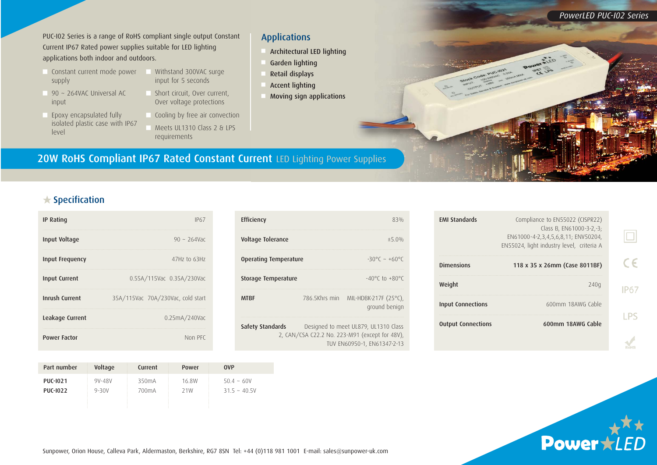*PowerLED PUC-I02 Series*

PUC-I02 Series is a range of RoHS compliant single output Constant Current IP67 Rated power supplies suitable for LED lighting applications both indoor and outdoors.

- Constant current mode power supply
- $90 \sim 264$ VAC Universal AC input
- Epoxy encapsulated fully isolated plastic case with IP67 level
- Withstand 300VAC surge input for 5 seconds
- Short circuit, Over current, Over voltage protections
	- Cooling by free air convection Meets UL1310 Class 2 & LPS requirements

#### Applications

- <sup>n</sup> Architectural LED lighting
- Garden lighting
- <sup>n</sup> Retail displays
- Accent lighting
- <sup>n</sup> Moving sign applications

### 20W RoHS Compliant IP67 Rated Constant Current LED Lighting Power Supplies

#### $\bigstar$  Specification

| <b>IP Rating</b>     | IP67                              |
|----------------------|-----------------------------------|
| Input Voltage        | $90 \sim 264$ Vac                 |
| Input Frequency      | 47Hz to 63Hz                      |
| <b>Input Current</b> | 0.55A/115Vac 0.35A/230Vac         |
| Inrush Current       | 35A/115Vac 70A/230Vac, cold start |
| Leakage Current      | 0.25mA/240VaC                     |
| <b>Power Factor</b>  | Non PFC                           |

| Efficiency                 | 83%<br>±5.0%  |                                                                                                                       |  |
|----------------------------|---------------|-----------------------------------------------------------------------------------------------------------------------|--|
| Voltage Tolerance          |               |                                                                                                                       |  |
| Operating Temperature      |               | $-30^{\circ}$ $\sim +60^{\circ}$ $\sim$                                                                               |  |
| <b>Storage Temperature</b> |               | $-40^{\circ}$ C to $+80^{\circ}$ C                                                                                    |  |
| <b>MTRF</b>                | 786.5Khrs min | MIL-HDBK-217F (25°C),<br>ground benign                                                                                |  |
| Safety Standards           |               | Designed to meet UL879, UL1310 Class<br>2, CAN/CSA C22.2 No. 223-M91 (except for 48V),<br>TUV EN60950-1, EN61347-2-13 |  |

| <b>EMI Standards</b>      | Compliance to EN55022 (CISPR22)<br>Class B, EN61000-3-2,-3;<br>EN61000-4-2,3,4,5,6,8,11; ENV50204,<br>EN55024, light industry level, criteria A |  |
|---------------------------|-------------------------------------------------------------------------------------------------------------------------------------------------|--|
| <b>Dimensions</b>         | 118 x 35 x 26mm (Case 8011BF)                                                                                                                   |  |
| Weight                    | 240q                                                                                                                                            |  |
| <b>Input Connections</b>  | 600mm 18AWG Cable                                                                                                                               |  |
| <b>Output Connections</b> | 600mm 18AWG Cable                                                                                                                               |  |
|                           |                                                                                                                                                 |  |

| Part number     | Voltage    | Current            | Power | <b>OVP</b>   |
|-----------------|------------|--------------------|-------|--------------|
| <b>PUC-1021</b> | $9V - 48V$ | 350 <sub>m</sub> A | 16.8W | $50.4 - 60V$ |
| <b>PUC-1022</b> | $9 - 30V$  | 700 <sub>m</sub> A | 21W   | $315 - 405V$ |